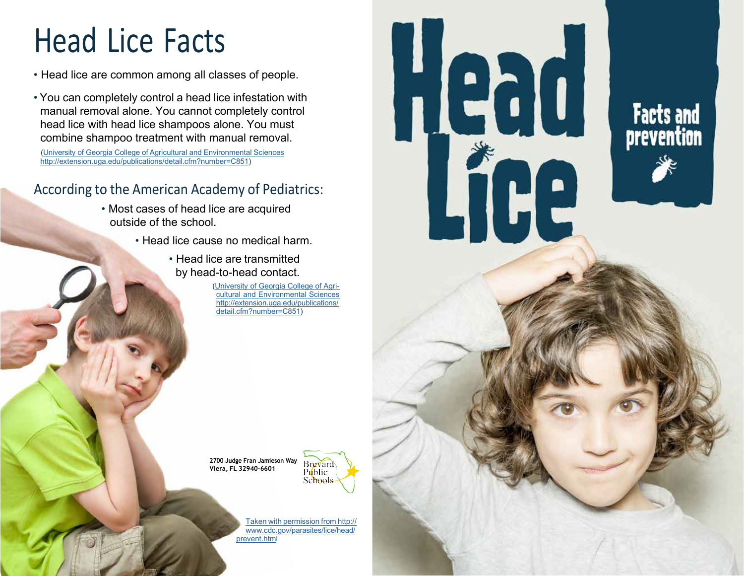## Head Lice Facts

- Head lice are common among all classes of people.
- You can completely control a head lice infestation with manual removal alone. You cannot completely control head lice with head lice shampoos alone. You must combine shampoo treatment with manual removal.

(University of Georgia College of Agricultural and Environmental Sciences [http://extension.uga.edu/publications/detail.cfm?number=C851\)](http://extension.uga.edu/publications/detail.cfm?number=C851)

## According to the American Academy of Pediatrics:

- Most cases of head lice are acquired outside of the school.
	- Head lice cause no medical harm.
		- Head lice are transmitted by head-to-head contact.

(University of Georgia College of Agricultural and Environmental Sciences [http://extension.uga.edu/publications/](http://extension.uga.edu/publications/detail.cfm?number=C851) detail.cfm?number=C851)

**2700 Judge Fran Jamieson Way Viera, FL 32940-6601** 



Facts and<br>prevention

Taken with permission from http:// [www.cdc.gov/parasites/lice/head/](https://www.cdc.gov/parasites/lice/head/prevent.html) prevent.html